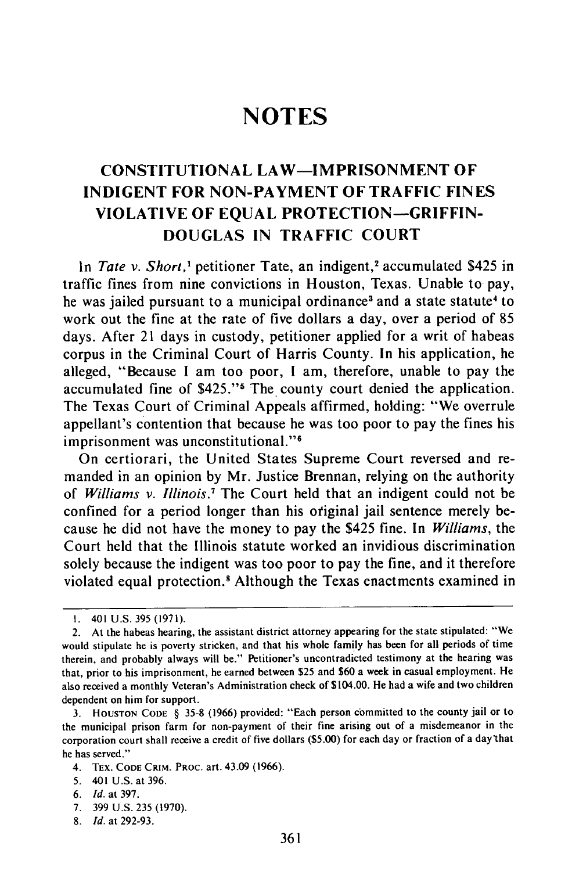## **NOTES**

## **CONSTITUTIONAL** LAW-IMPRISONMENT OF **INDIGENT** FOR **NON-PAYMENT** OF TRAFFIC **FINES** VIOLATIVE OF **EQUAL** PROTECTION **-GRIFFIN-DOUGLAS IN** TRAFFIC **COURT**

In *Tate v. Short*,<sup>1</sup> petitioner Tate, an indigent,<sup>2</sup> accumulated \$425 in traffic fines from nine convictions in Houston, Texas. Unable to pay, he was jailed pursuant to a municipal ordinance<sup>3</sup> and a state statute<sup>4</sup> to work out the fine at the rate of five dollars a day, over a period of 85 days. After 21 days in custody, petitioner applied for a writ of habeas corpus in the Criminal Court of Harris County. In his application, he alleged, "Because I am too poor, **I** am, therefore, unable to pay the accumulated fine of \$425."<sup>5</sup> The county court denied the application. The Texas Court of Criminal Appeals affirmed, holding: "We overrule appellant's contention that because he was too poor to pay the fines his imprisonment was unconstitutional."<sup>6</sup>

On certiorari, the United States Supreme Court reversed and remanded in an opinion by Mr. Justice Brennan, relying on the authority of *Williams v. Illinois.7* The Court held that an indigent could not be confined for a period longer than his otiginal jail sentence merely because he did not have the money to pay the \$425 fine. In *Williams,* the Court held that the Illinois statute worked an invidious discrimination solely because the indigent was too poor to pay the fine, and it therefore violated equal protection.' Although the Texas enactments examined in

<sup>1. 401</sup> U.S. 395 (1971).

<sup>2.</sup> At the habeas hearing, the assistant district attorney appearing for the state stipulated: "We would stipulate he is poverty stricken, and that his whole family has been for all periods of time therein, and probably always will be." Petitioner's uncontradicted testimony at the hearing was that, prior to his imprisonment, he earned between **\$25** and **\$60** a week in casual employment. He also received a monthly Veteran's Administration check of \$104.00. He had a wife and two children dependent on him for support.

<sup>3.</sup> **HOUSTON CODE** § 35-8 (1966) provided: "Each person committed to the county jail or to the municipal prison farm for non-payment of their fine arising out of a misdemeanor in the corporation court shall receive a credit of five dollars (\$5.00) for each day or fraction of a day that he has served."

<sup>4.</sup> TEX. **CODE CRIM.** PROC. art. 43.09 **(1966).**

<sup>5. 401</sup> U.S. at 396.

<sup>6.</sup> *Id.* at 397.

<sup>7. 399</sup> U.S. 235 (1970).

<sup>8.</sup> *Id.* at 292-93.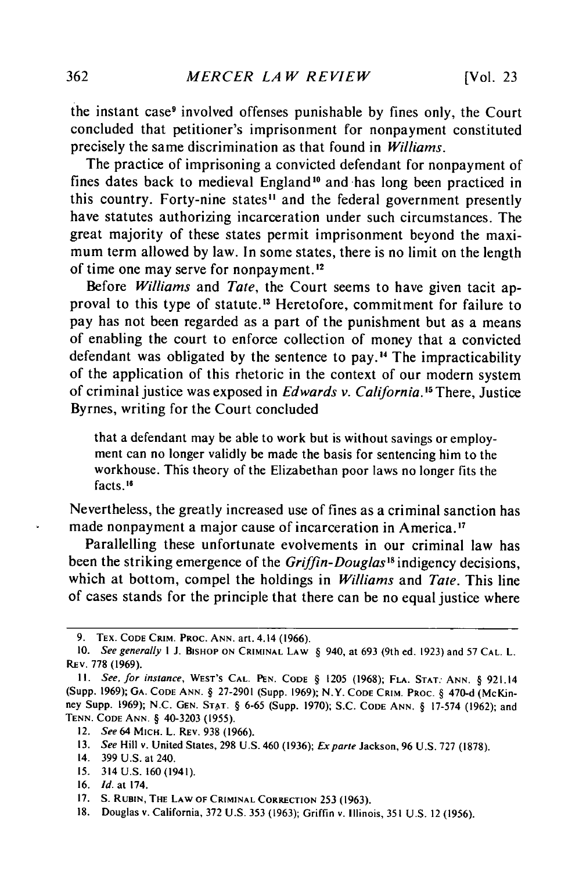the instant case<sup>9</sup> involved offenses punishable by fines only, the Court concluded that petitioner's imprisonment for nonpayment constituted precisely the same discrimination as that found in *Williams.*

The practice of imprisoning a convicted defendant for nonpayment of fines dates back to medieval England<sup>10</sup> and has long been practiced in this country. Forty-nine states<sup>11</sup> and the federal government presently have statutes authorizing incarceration under such circumstances. The great majority of these states permit imprisonment beyond the maximum term allowed by law. In some states, there is no limit on the length of time one may serve for nonpayment.12

Before *Williams* and *Tate,* the Court seems to have given tacit approval to this type of statute.<sup>13</sup> Heretofore, commitment for failure to pay has not been regarded as a part of the punishment but as a means of enabling the court to enforce collection of money that a convicted defendant was obligated by the sentence to pay." The impracticability of the application of this rhetoric in the context of our modern system of criminal justice was exposed in *Edwards v. California.'5* There, Justice Byrnes, writing for the Court concluded

that a defendant may be able to work but is without savings or employment can no longer validly be made the basis for sentencing him to the workhouse. This theory of the Elizabethan poor laws no longer fits the facts. **"1**

Nevertheless, the greatly increased use of fines as a criminal sanction has made nonpayment a major cause of incarceration in America.<sup>17</sup>

Parallelling these unfortunate evolvements in our criminal law has been the striking emergence of the *Griffin-Douglas"* indigency decisions, which at bottom, compel the holdings in *Williams* and *Tate.* This line of cases stands for the principle that there can be no equal justice where

**15.** 314 **U.S. 160 (1941).**

**<sup>9.</sup> TEX. CODE CRIM. PROC. ANN.** art. 4.14 **(1966).**

**<sup>10.</sup>** See generally **I J. BISHOP ON CRIMINAL LAW** § 940, at **693** (9th ed. **1923)** and 57 **CAL.** L. **REv. 778 (1969).**

**I!.** See, for instance, **WEST'S CAL. PEN. CODE** § **1205 (1968); FLA. STAT. ANN.** § 921.14 **(Supp. 1969); GA. CODE ANN.** § **27-2901** (Supp. **1969);** N.Y. **CODE CRIM. PROC.** § **470-d (McKin**ney Supp. **1969); N.C. GEN. STAT.** § **6-65** (Supp. **1970); S.C. CODE ANN.** § 17-574 **(1962);** and **TENN. CODE ANN.** § 40-3203 **(1955).**

<sup>12.</sup> See 64 **MICH.** L. **REV. 938 (1966).**

**<sup>13.</sup>** See Hill v. United States, **298 U.S.** 460 **(1936);** Exparte Jackson, **96 U.S. 727 (1878).**

<sup>14.</sup> **399 U.S.** at 240.

**<sup>16.</sup>** *Id.* at 174.

<sup>17.</sup> **S. RUBIN, THE** LAW OF **CRIMINAL** CORRECTION 253 (1963).

<sup>18.</sup> Douglas v. California, 372 U.S. 353 (1963); Griffin v. Illinois, 351 U.S. 12 (1956).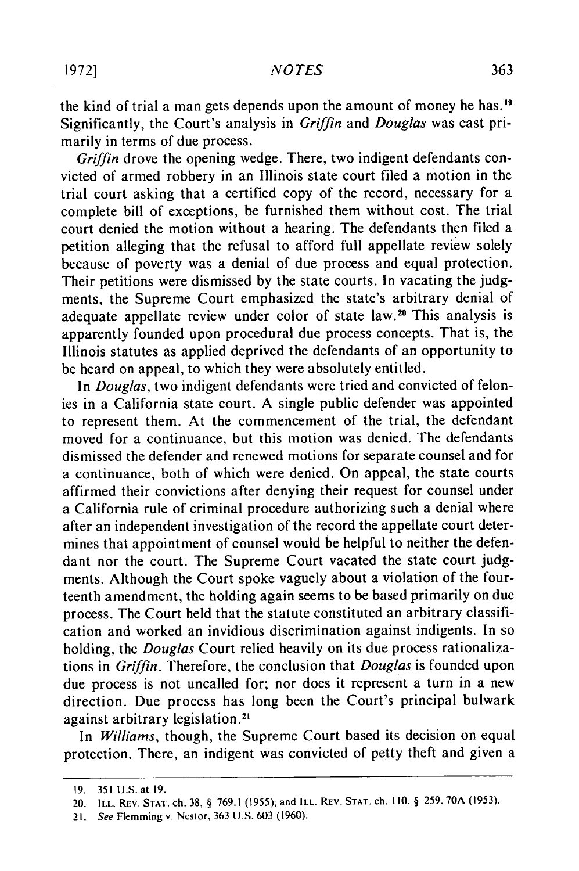the kind of trial a man gets depends upon the amount of money he has.<sup>19</sup> Significantly, the Court's analysis in *Griffin* and *Douglas* was cast primarily in terms of due process.

*Griffin* drove the opening wedge. There, two indigent defendants convicted of armed robbery in an Illinois state court filed a motion in the trial court asking that a certified copy of the record, necessary for a complete bill of exceptions, be furnished them without cost. The trial court denied the motion without a hearing. The defendants then filed a petition alleging that the refusal to afford full appellate review solely because of poverty was a denial of due process and equal protection. Their petitions were dismissed by the state courts. In vacating the judgments, the Supreme Court emphasized the state's arbitrary denial of adequate appellate review under color of state law. 20 This analysis is apparently founded upon procedural due process concepts. That is, the Illinois statutes as applied deprived the defendants of an opportunity to be heard on appeal, to which they were absolutely entitled.

In *Douglas,* two indigent defendants were tried and convicted of felonies in a California state court. A single public defender was appointed to represent them. At the commencement of the trial, the defendant moved for a continuance, but this motion was denied. The defendants dismissed the defender and renewed motions for separate counsel and for a continuance, both of which were denied. On appeal, the state courts affirmed their convictions after denying their request for counsel under a California rule of criminal procedure authorizing such a denial where after an independent investigation of the record the appellate court determines that appointment of counsel would be helpful to neither the defendant nor the court. The Supreme Court vacated the state court judgments. Although the Court spoke vaguely about a violation of the fourteenth amendment, the holding again seems to be based primarily on due process. The Court held that the statute constituted an arbitrary classification and worked an invidious discrimination against indigents. In so holding, the *Douglas* Court relied heavily on its due process rationalizations in *Griffin.* Therefore, the conclusion that *Douglas* is founded upon due process is not uncalled for; nor does it represent a turn in a new direction. Due process has long been the Court's principal bulwark against arbitrary legislation.<sup>2</sup>

In *Williams,* though, the Supreme Court based its decision on equal protection. There, an indigent was convicted of petty theft and given a

<sup>19. 351</sup>U.S. at 19.

<sup>20.</sup> ILL. REV. **STAT.** ch. **38,** § 769.1 (1955); and ILL. REV. **STAT.** ch. 110, § 259. **70A** (1953).

<sup>21.</sup> See Flemming v. Nestor, 363 U.S. 603 (1960).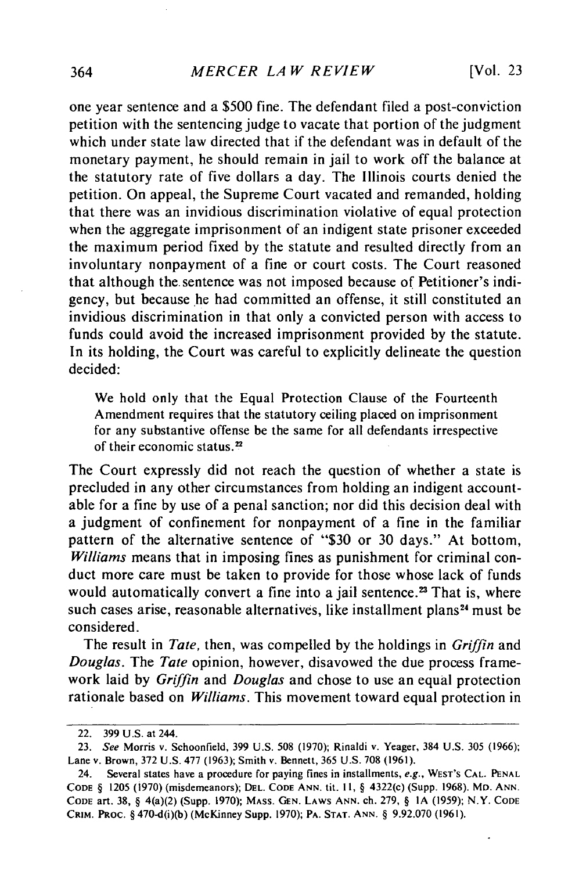one year sentence and a \$500 fine. The defendant filed a post-conviction petition with the sentencing judge to vacate that portion of the judgment which under state law directed that if the defendant was in default of the monetary payment, he should remain in jail to work off the balance at the statutory rate of five dollars a day. The Illinois courts denied the petition. On appeal, the Supreme Court vacated and remanded, holding that there was an invidious discrimination violative of equal protection when the aggregate imprisonment of an indigent state prisoner exceeded the maximum period fixed by the statute and resulted directly from an involuntary nonpayment of a fine or court costs. The Court reasoned that although the. sentence was not imposed because of Petitioner's indigency, but because he had committed an offense, it still constituted an invidious discrimination in that only a convicted person with access to funds could avoid the increased imprisonment provided by the statute. In its holding, the Court was careful to explicitly delineate the question decided:

We hold only that the Equal Protection Clause of the Fourteenth Amendment requires that the statutory ceiling placed on imprisonment for any substantive offense be the same for all defendants irrespective of their economic status.<sup>22</sup>

The Court expressly did not reach the question of whether a state is precluded in any other circumstances from holding an indigent accountable for a fine by use of a penal sanction; nor did this decision deal with a judgment of confinement for nonpayment of a fine in the familiar pattern of the alternative sentence of "\$30 or 30 days." At bottom, *Williams* means that in imposing fines as punishment for criminal conduct more care must be taken to provide for those whose lack of funds would automatically convert a fine into a jail sentence.<sup>23</sup> That is, where such cases arise, reasonable alternatives, like installment plans<sup>24</sup> must be considered.

The result in *Tate,* then, was compelled by the holdings in *Griffin* and *Douglas. The Tate* opinion, however, disavowed the due process framework laid by *Griffin* and *Douglas* and chose to use an equal protection rationale based on *Williams.* This movement toward equal protection in

<sup>22. 399</sup> U.S. at 244.

<sup>23.</sup> See Morris v. Schoonfield, 399 U.S. 508 (1970); Rinaldi v. Yeager, 384 U.S. 305 (1966); Lane v. Brown, 372 U.S. 477 (1963); Smith v. Bennett, 365 U.S. 708 (1961).

<sup>24.</sup> Several states have a procedure for paying fines in installments, e.g., WEST'S **CAL. PENAL CODE** § 1205 (1970) (misdemeanors); **DEL. CODE ANN.** tit. **I1,** § 4322(c) (Supp. 1968). MD. ANN. **CODE** art. **38,** § 4(a)(2) (Supp. **1970); MASS. GEN. LAWS ANN.** ch. 279, § **IA** (1959); N.Y. **CODE CRIM.** PRoc. § 470-d(i)(b) (McKinney Supp. 1970); **PA. STAT.** ANN. § 9.92.070 (1961).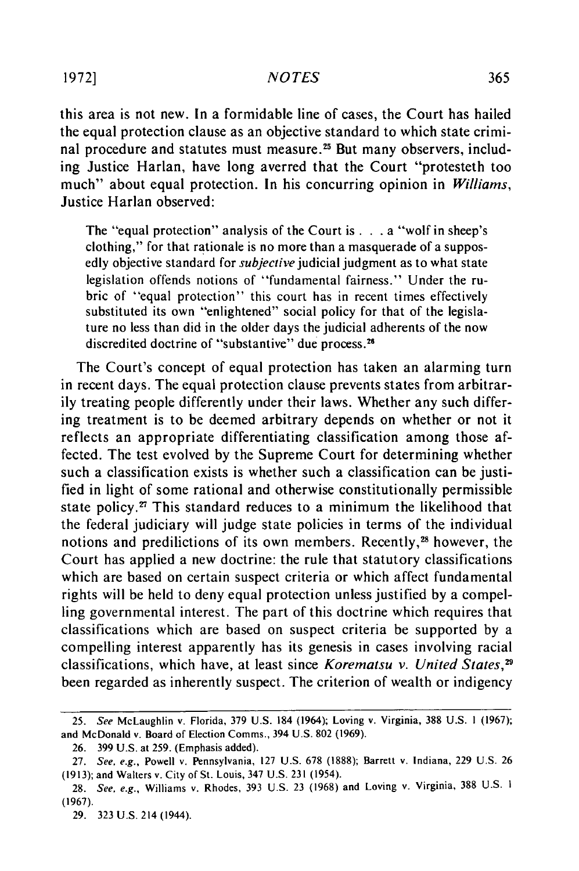this area is not new. In a formidable line of cases, the Court has hailed the equal protection clause as an objective standard to which state criminal procedure and statutes must measure.<sup>25</sup> But many observers, including Justice Harlan, have long averred that the Court "protesteth too much" about equal protection. In his concurring opinion in *Williams,* Justice Harlan observed:

The "equal protection" analysis of the Court **is...** a "wolf in sheep's clothing," for that rationale is no more than a masquerade of a supposedly objective standard for *subjective* judicial judgment as to what state legislation offends notions of "fundamental fairness." Under the rubric of "equal protection" this court has in recent times effectively substituted its own "enlightened" social policy for that of the legislature no less than did in the older days the judicial adherents of the now discredited doctrine of "substantive" due process.<sup>26</sup>

The Court's concept of equal protection has taken an alarming turn in recent days. The equal protection clause prevents states from arbitrarily treating people differently under their laws. Whether any such differing treatment is to be deemed arbitrary depends on whether or not it reflects an appropriate differentiating classification among those affected. The test evolved by the Supreme Court for determining whether such a classification exists is whether such a classification can be justified in light of some rational and otherwise constitutionally permissible state policy.<sup>27</sup> This standard reduces to a minimum the likelihood that the federal judiciary will judge state policies in terms of the individual notions and predilictions of its own members. Recently,<sup>28</sup> however, the Court has applied a new doctrine: the rule that statutory classifications which are based on certain suspect criteria or which affect fundamental rights will be held to deny equal protection unless justified by a compelling governmental interest. The part of this doctrine which requires that classifications which are based on suspect criteria be supported by a compelling interest apparently has its genesis in cases involving racial classifications, which have, at least since *Korematsu v. United States,2* been regarded as inherently suspect. The criterion of wealth or indigency

<sup>25.</sup> See McLaughlin v. Florida, 379 U.S. 184 (1964); Loving v. Virginia, 388 U.S. **1** (1967); and McDonald v. Board of Election Comms., 394 U.S. 802 (1969).

<sup>26. 399</sup> U.S. at 259. (Emphasis added).

<sup>27.</sup> See, e.g., Powell v. Pennsylvania, 127 U.S. 678 (1888); Barrett v. Indiana, 229 U.S. 26 (1913); and Walters v. City of St. Louis, 347 U.S. 231 (1954).

<sup>28.</sup> See, e.g., Williams v. Rhodes, 393 U.S. 23 (1968) and Loving v. Virginia, 388 U.S. **1** (1967).

<sup>29. 323</sup> U.S. **214** (1944).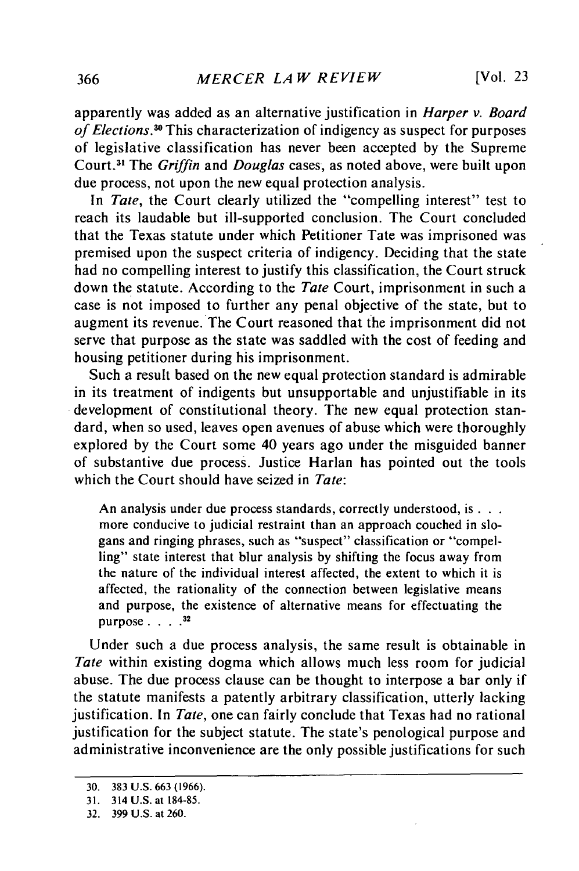apparently was added as an alternative justification in *Harper v. Board of Elections.3* This characterization of indigency as suspect for purposes of legislative classification has never been accepted by the Supreme Court.<sup>31</sup> The *Griffin* and *Douglas* cases, as noted above, were built upon due process, not upon the new equal protection analysis.

In *Tate*, the Court clearly utilized the "compelling interest" test to reach its laudable but ill-supported conclusion. The Court concluded that the Texas statute under which Petitioner Tate was imprisoned was premised upon the suspect criteria of indigency. Deciding that the state had no compelling interest to justify this classification, the Court struck down the statute. According to the *Tate* Court, imprisonment in such a case is not imposed to further any penal objective of the state, but to augment its revenue. The Court reasoned that the imprisonment did not serve that purpose as the state was saddled with the cost of feeding and housing petitioner during his imprisonment.

Such a result based on the new equal protection standard is admirable in its treatment of indigents but unsupportable and unjustifiable in its development of constitutional theory. The new equal protection standard, when so used, leaves open avenues of abuse which were thoroughly explored by the Court some 40 years ago under the misguided banner of substantive due process. Justice Harlan has pointed out the tools which the Court should have seized in *Tate:*

An analysis under due process standards, correctly understood, **is...** more conducive to judicial restraint than an approach couched in slogans and ringing phrases, such as "suspect" classification or "compelling" state interest that blur analysis by shifting the focus away from the nature of the individual interest affected, the extent to which it is affected, the rationality of the connection between legislative means and purpose, the existence of alternative means for effectuating the purpose **.... 32**

Under such a due process analysis, the same result is obtainable in *Tate* within existing dogma which allows much less room for judicial abuse. The due process clause can be thought to interpose a bar only if the statute manifests a patently arbitrary classification, utterly lacking justification. In *Tate,* one can fairly conclude that Texas had no rational justification for the subject statute. The state's penological purpose and administrative inconvenience are the only possible justifications for such

<sup>30. 383</sup> U.S. 663 (1966).

<sup>31. 314</sup> **U.S.** at 184-85.

<sup>32.</sup> **399 U.S.** at **260.**